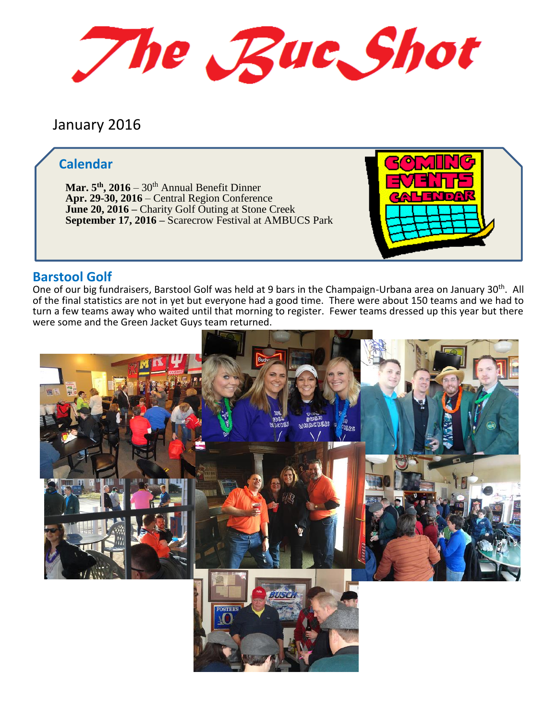The Buc Shot

# January 2016

## **Calendar**

**Mar. 5 th, 2016** – 30th Annual Benefit Dinner **Apr. 29-30, 2016** – Central Region Conference **June 20, 2016 –** Charity Golf Outing at Stone Creek **September 17, 2016 –** Scarecrow Festival at AMBUCS Park



### **Barstool Golf**

One of our big fundraisers, Barstool Golf was held at 9 bars in the Champaign-Urbana area on January 30th. All of the final statistics are not in yet but everyone had a good time. There were about 150 teams and we had to turn a few teams away who waited until that morning to register. Fewer teams dressed up this year but there were some and the Green Jacket Guys team returned.

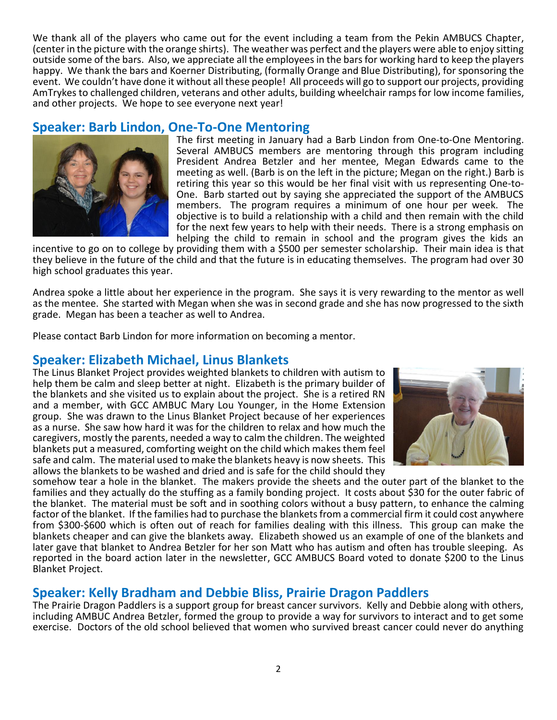We thank all of the players who came out for the event including a team from the Pekin AMBUCS Chapter, (center in the picture with the orange shirts). The weather was perfect and the players were able to enjoy sitting outside some of the bars. Also, we appreciate all the employeesin the bars for working hard to keep the players happy. We thank the bars and Koerner Distributing, (formally Orange and Blue Distributing), for sponsoring the event. We couldn't have done it without all these people! All proceeds will go to support our projects, providing AmTrykes to challenged children, veterans and other adults, building wheelchair ramps for low income families, and other projects. We hope to see everyone next year!

## **Speaker: Barb Lindon, One-To-One Mentoring**



The first meeting in January had a Barb Lindon from One-to-One Mentoring. Several AMBUCS members are mentoring through this program including President Andrea Betzler and her mentee, Megan Edwards came to the meeting as well. (Barb is on the left in the picture; Megan on the right.) Barb is retiring this year so this would be her final visit with us representing One-to-One. Barb started out by saying she appreciated the support of the AMBUCS members. The program requires a minimum of one hour per week. The objective is to build a relationship with a child and then remain with the child for the next few years to help with their needs. There is a strong emphasis on helping the child to remain in school and the program gives the kids an

incentive to go on to college by providing them with a \$500 per semester scholarship. Their main idea is that they believe in the future of the child and that the future is in educating themselves. The program had over 30 high school graduates this year.

Andrea spoke a little about her experience in the program. She says it is very rewarding to the mentor as well as the mentee. She started with Megan when she was in second grade and she has now progressed to the sixth grade. Megan has been a teacher as well to Andrea.

Please contact Barb Lindon for more information on becoming a mentor.

#### **Speaker: Elizabeth Michael, Linus Blankets**

The Linus Blanket Project provides weighted blankets to children with autism to help them be calm and sleep better at night. Elizabeth is the primary builder of the blankets and she visited us to explain about the project. She is a retired RN and a member, with GCC AMBUC Mary Lou Younger, in the Home Extension group. She was drawn to the Linus Blanket Project because of her experiences as a nurse. She saw how hard it was for the children to relax and how much the caregivers, mostly the parents, needed a way to calm the children. The weighted blankets put a measured, comforting weight on the child which makes them feel safe and calm. The material used to make the blankets heavy is now sheets. This allows the blankets to be washed and dried and is safe for the child should they



somehow tear a hole in the blanket. The makers provide the sheets and the outer part of the blanket to the families and they actually do the stuffing as a family bonding project. It costs about \$30 for the outer fabric of the blanket. The material must be soft and in soothing colors without a busy pattern, to enhance the calming factor of the blanket. If the families had to purchase the blankets from a commercial firm it could cost anywhere from \$300-\$600 which is often out of reach for families dealing with this illness. This group can make the blankets cheaper and can give the blankets away. Elizabeth showed us an example of one of the blankets and later gave that blanket to Andrea Betzler for her son Matt who has autism and often has trouble sleeping. As reported in the board action later in the newsletter, GCC AMBUCS Board voted to donate \$200 to the Linus Blanket Project.

#### **Speaker: Kelly Bradham and Debbie Bliss, Prairie Dragon Paddlers**

The Prairie Dragon Paddlers is a support group for breast cancer survivors. Kelly and Debbie along with others, including AMBUC Andrea Betzler, formed the group to provide a way for survivors to interact and to get some exercise. Doctors of the old school believed that women who survived breast cancer could never do anything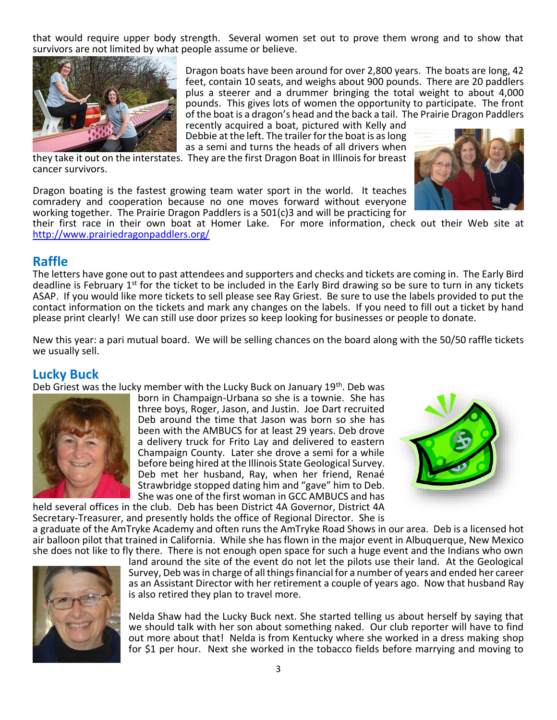that would require upper body strength. Several women set out to prove them wrong and to show that survivors are not limited by what people assume or believe.



Dragon boats have been around for over 2,800 years. The boats are long, 42 feet, contain 10 seats, and weighs about 900 pounds. There are 20 paddlers plus a steerer and a drummer bringing the total weight to about 4,000 pounds. This gives lots of women the opportunity to participate. The front of the boat is a dragon's head and the back a tail. The Prairie Dragon Paddlers

recently acquired a boat, pictured with Kelly and Debbie at the left. The trailer for the boat is as long as a semi and turns the heads of all drivers when

they take it out on the interstates. They are the first Dragon Boat in Illinois for breast cancer survivors.

Dragon boating is the fastest growing team water sport in the world. It teaches comradery and cooperation because no one moves forward without everyone working together. The Prairie Dragon Paddlers is a 501(c)3 and will be practicing for



their first race in their own boat at Homer Lake. For more information, check out their Web site at <http://www.prairiedragonpaddlers.org/>

#### **Raffle**

The letters have gone out to past attendees and supporters and checks and tickets are coming in. The Early Bird deadline is February 1<sup>st</sup> for the ticket to be included in the Early Bird drawing so be sure to turn in any tickets ASAP. If you would like more tickets to sell please see Ray Griest. Be sure to use the labels provided to put the contact information on the tickets and mark any changes on the labels. If you need to fill out a ticket by hand please print clearly! We can still use door prizes so keep looking for businesses or people to donate.

New this year: a pari mutual board. We will be selling chances on the board along with the 50/50 raffle tickets we usually sell.

#### **Lucky Buck**

Deb Griest was the lucky member with the Lucky Buck on January  $19<sup>th</sup>$ . Deb was



born in Champaign-Urbana so she is a townie. She has three boys, Roger, Jason, and Justin. Joe Dart recruited Deb around the time that Jason was born so she has been with the AMBUCS for at least 29 years. Deb drove a delivery truck for Frito Lay and delivered to eastern Champaign County. Later she drove a semi for a while before being hired at the Illinois State Geological Survey. Deb met her husband, Ray, when her friend, Renaé Strawbridge stopped dating him and "gave" him to Deb. She was one of the first woman in GCC AMBUCS and has



held several offices in the club. Deb has been District 4A Governor, District 4A Secretary-Treasurer, and presently holds the office of Regional Director. She is a graduate of the AmTryke Academy and often runs the AmTryke Road Shows in our area. Deb is a licensed hot

air balloon pilot that trained in California. While she has flown in the major event in Albuquerque, New Mexico she does not like to fly there. There is not enough open space for such a huge event and the Indians who own



land around the site of the event do not let the pilots use their land. At the Geological Survey, Deb was in charge of all things financial for a number of years and ended her career as an Assistant Director with her retirement a couple of years ago. Now that husband Ray is also retired they plan to travel more.

Nelda Shaw had the Lucky Buck next. She started telling us about herself by saying that we should talk with her son about something naked. Our club reporter will have to find out more about that! Nelda is from Kentucky where she worked in a dress making shop for \$1 per hour. Next she worked in the tobacco fields before marrying and moving to